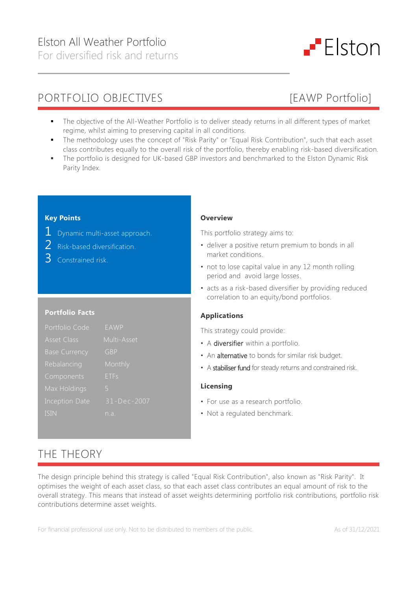



- The objective of the All-Weather Portfolio is to deliver steady returns in all different types of market regime, whilst aiming to preserving capital in all conditions.
- The methodology uses the concept of "Risk Parity" or "Equal Risk Contribution", such that each asset class contributes equally to the overall risk of the portfolio, thereby enabling risk-based diversification.
- The portfolio is designed for UK-based GBP investors and benchmarked to the Elston Dynamic Risk Parity Index.

## **Key Points**

- 1 Dynamic multi-asset approach.
- 2 Risk-based diversification.
- 3 Constrained risk.

### **Portfolio Facts**

| Portfolio Code       | EAWP        |
|----------------------|-------------|
| <b>Asset Class</b>   | Multi-Asset |
| <b>Base Currency</b> | <b>GBP</b>  |
| Rebalancing          | Monthly     |
| Components           | <b>ETFs</b> |
| Max Holdings         | 5           |
| Inception Date       | 31-Dec-2007 |
| <b>ISIN</b>          | n a         |

### **Overview**

This portfolio strategy aims to:

- deliver a positive return premium to bonds in all market conditions.
- not to lose capital value in any 12 month rolling period and avoid large losses.
- acts as a risk-based diversifier by providing reduced correlation to an equity/bond portfolios.

### **Applications**

This strategy could provide:

- A diversifier within a portfolio.
- An alternative to bonds for similar risk budget.
- A stabiliser fund for steady returns and constrained risk.

### **Licensing**

- For use as a research portfolio.
- Not a regulated benchmark.

# THE THEORY

The design principle behind this strategy is called "Equal Risk Contribution", also known as "Risk Parity". It optimises the weight of each asset class, so that each asset class contributes an equal amount of risk to the overall strategy. This means that instead of asset weights determining portfolio risk contributions, portfolio risk contributions determine asset weights.

For financial professional use only. Not to be distributed to members of the public. As of 31/12/2021

 $-$  Elston